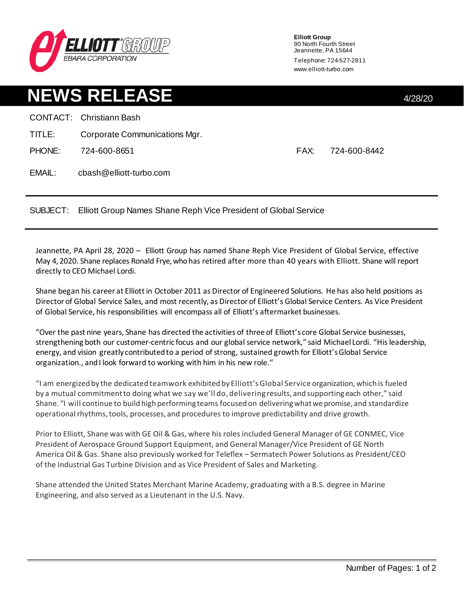

**Elliott Group** 90 North Fourth Street Jeannette, PA 15644 Telephone: 724-527-2811 www.elliott-turbo.com

## **NEWS RELEASE** 4/28/20 CONTACT: Christiann Bash TITLE: Corporate Communications Mgr. PHONE: 724-600-8651 FAX: 724-600-8442 EMAIL: cbash@elliott-turbo.com

SUBJECT: Elliott Group Names Shane Reph Vice President of Global Service

Jeannette, PA April 28, 2020 – Elliott Group has named Shane Reph Vice President of Global Service, effective May 4, 2020. Shane replaces Ronald Frye, who has retired after more than 40 years with Elliott. Shane will report directly to CEO Michael Lordi.

Shane began his career at Elliott in October 2011 as Director of Engineered Solutions. He has also held positions as Director of Global Service Sales, and most recently, as Director of Elliott's Global Service Centers. As Vice President of Global Service, his responsibilities will encompass all of Elliott's aftermarket businesses.

"Over the past nine years, Shane has directed the activities of three of Elliott's core Global Service businesses, strengthening both our customer-centric focus and our global service network," said Michael Lordi. "His leadership, energy, and vision greatly contributed to a period of strong, sustained growth for Elliott'sGlobal Service organization., and I look forward to working with him in his new role."

"I am energized by the dedicated teamwork exhibited by Elliott'sGlobal Service organization, which is fueled by a mutual commitment to doing what we say we'll do, delivering results, and supportingeach other," said Shane. "I will continue to build high performing teams focused on delivering what we promise, and standardize operational rhythms, tools, processes, and procedures to improve predictability and drive growth.

Prior to Elliott, Shane was with GE Oil & Gas, where his roles included General Manager of GE CONMEC, Vice President of Aerospace Ground Support Equipment, and General Manager/Vice President of GE North America Oil & Gas. Shane also previously worked for Teleflex – Sermatech Power Solutions as President/CEO of the Industrial Gas Turbine Division and as Vice President of Sales and Marketing.

Shane attended the United States Merchant Marine Academy, graduating with a B.S. degree in Marine Engineering, and also served as a Lieutenant in the U.S. Navy.